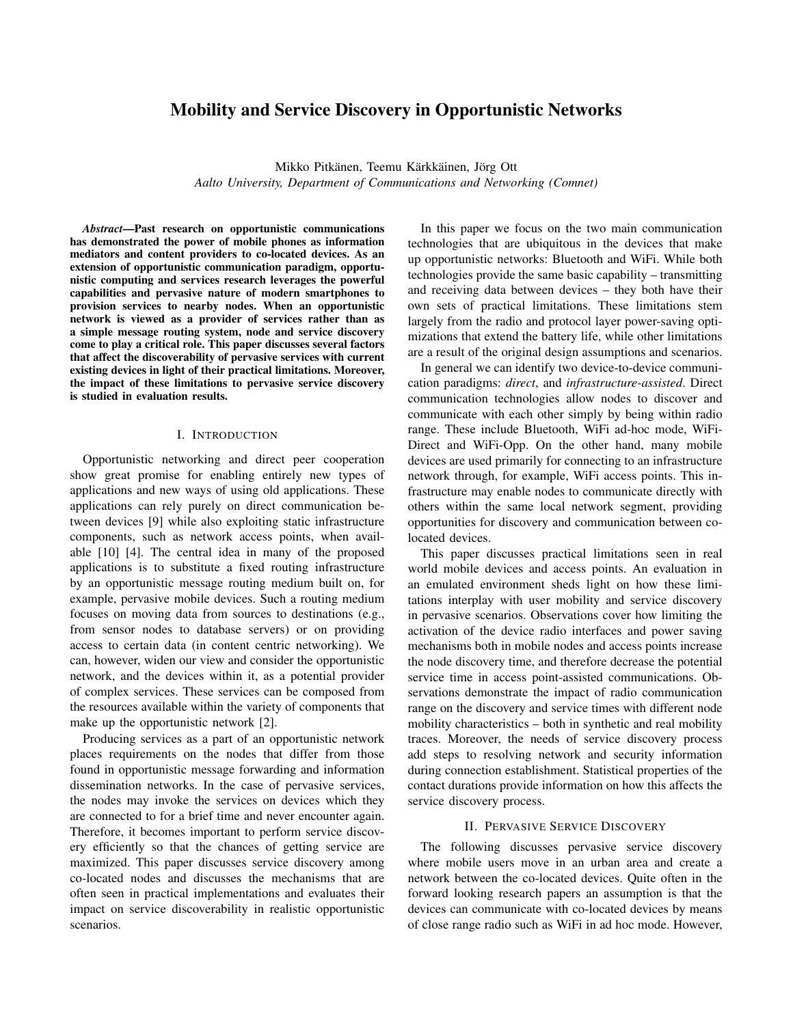# Mobility and Service Discovery in Opportunistic Networks

Mikko Pitkänen, Teemu Kärkkäinen, Jörg Ott *Aalto University, Department of Communications and Networking (Comnet)*

*Abstract*—Past research on opportunistic communications has demonstrated the power of mobile phones as information mediators and content providers to co-located devices. As an extension of opportunistic communication paradigm, opportunistic computing and services research leverages the powerful capabilities and pervasive nature of modern smartphones to provision services to nearby nodes. When an opportunistic network is viewed as a provider of services rather than as a simple message routing system, node and service discovery come to play a critical role. This paper discusses several factors that affect the discoverability of pervasive services with current existing devices in light of their practical limitations. Moreover, the impact of these limitations to pervasive service discovery is studied in evaluation results.

# I. INTRODUCTION

Opportunistic networking and direct peer cooperation show great promise for enabling entirely new types of applications and new ways of using old applications. These applications can rely purely on direct communication between devices [9] while also exploiting static infrastructure components, such as network access points, when available [10] [4]. The central idea in many of the proposed applications is to substitute a fixed routing infrastructure by an opportunistic message routing medium built on, for example, pervasive mobile devices. Such a routing medium focuses on moving data from sources to destinations (e.g., from sensor nodes to database servers) or on providing access to certain data (in content centric networking). We can, however, widen our view and consider the opportunistic network, and the devices within it, as a potential provider of complex services. These services can be composed from the resources available within the variety of components that make up the opportunistic network [2].

Producing services as a part of an opportunistic network places requirements on the nodes that differ from those found in opportunistic message forwarding and information dissemination networks. In the case of pervasive services, the nodes may invoke the services on devices which they are connected to for a brief time and never encounter again. Therefore, it becomes important to perform service discovery efficiently so that the chances of getting service are maximized. This paper discusses service discovery among co-located nodes and discusses the mechanisms that are often seen in practical implementations and evaluates their impact on service discoverability in realistic opportunistic scenarios.

In this paper we focus on the two main communication technologies that are ubiquitous in the devices that make up opportunistic networks: Bluetooth and WiFi. While both technologies provide the same basic capability – transmitting and receiving data between devices – they both have their own sets of practical limitations. These limitations stem largely from the radio and protocol layer power-saving optimizations that extend the battery life, while other limitations are a result of the original design assumptions and scenarios.

In general we can identify two device-to-device communication paradigms: *direct*, and *infrastructure-assisted*. Direct communication technologies allow nodes to discover and communicate with each other simply by being within radio range. These include Bluetooth, WiFi ad-hoc mode, WiFi-Direct and WiFi-Opp. On the other hand, many mobile devices are used primarily for connecting to an infrastructure network through, for example, WiFi access points. This infrastructure may enable nodes to communicate directly with others within the same local network segment, providing opportunities for discovery and communication between colocated devices.

This paper discusses practical limitations seen in real world mobile devices and access points. An evaluation in an emulated environment sheds light on how these limitations interplay with user mobility and service discovery in pervasive scenarios. Observations cover how limiting the activation of the device radio interfaces and power saving mechanisms both in mobile nodes and access points increase the node discovery time, and therefore decrease the potential service time in access point-assisted communications. Observations demonstrate the impact of radio communication range on the discovery and service times with different node mobility characteristics – both in synthetic and real mobility traces. Moreover, the needs of service discovery process add steps to resolving network and security information during connection establishment. Statistical properties of the contact durations provide information on how this affects the service discovery process.

#### II. PERVASIVE SERVICE DISCOVERY

The following discusses pervasive service discovery where mobile users move in an urban area and create a network between the co-located devices. Quite often in the forward looking research papers an assumption is that the devices can communicate with co-located devices by means of close range radio such as WiFi in ad hoc mode. However,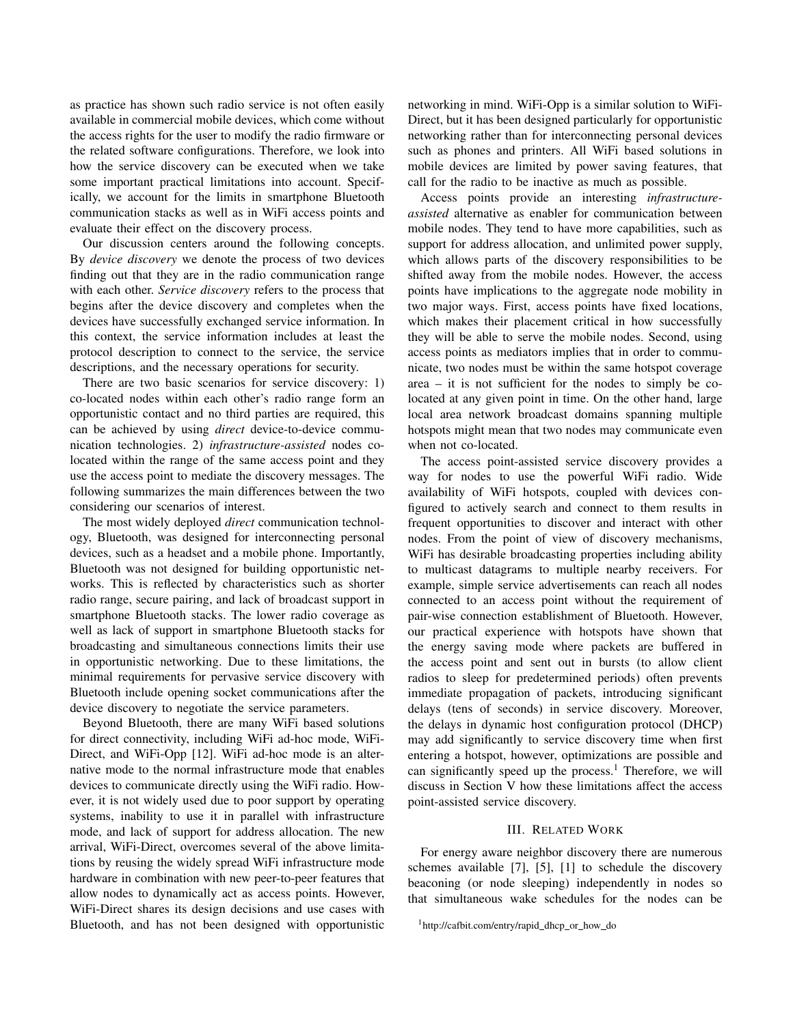as practice has shown such radio service is not often easily available in commercial mobile devices, which come without the access rights for the user to modify the radio firmware or the related software configurations. Therefore, we look into how the service discovery can be executed when we take some important practical limitations into account. Specifically, we account for the limits in smartphone Bluetooth communication stacks as well as in WiFi access points and evaluate their effect on the discovery process.

Our discussion centers around the following concepts. By *device discovery* we denote the process of two devices finding out that they are in the radio communication range with each other. *Service discovery* refers to the process that begins after the device discovery and completes when the devices have successfully exchanged service information. In this context, the service information includes at least the protocol description to connect to the service, the service descriptions, and the necessary operations for security.

There are two basic scenarios for service discovery: 1) co-located nodes within each other's radio range form an opportunistic contact and no third parties are required, this can be achieved by using *direct* device-to-device communication technologies. 2) *infrastructure-assisted* nodes colocated within the range of the same access point and they use the access point to mediate the discovery messages. The following summarizes the main differences between the two considering our scenarios of interest.

The most widely deployed *direct* communication technology, Bluetooth, was designed for interconnecting personal devices, such as a headset and a mobile phone. Importantly, Bluetooth was not designed for building opportunistic networks. This is reflected by characteristics such as shorter radio range, secure pairing, and lack of broadcast support in smartphone Bluetooth stacks. The lower radio coverage as well as lack of support in smartphone Bluetooth stacks for broadcasting and simultaneous connections limits their use in opportunistic networking. Due to these limitations, the minimal requirements for pervasive service discovery with Bluetooth include opening socket communications after the device discovery to negotiate the service parameters.

Beyond Bluetooth, there are many WiFi based solutions for direct connectivity, including WiFi ad-hoc mode, WiFi-Direct, and WiFi-Opp [12]. WiFi ad-hoc mode is an alternative mode to the normal infrastructure mode that enables devices to communicate directly using the WiFi radio. However, it is not widely used due to poor support by operating systems, inability to use it in parallel with infrastructure mode, and lack of support for address allocation. The new arrival, WiFi-Direct, overcomes several of the above limitations by reusing the widely spread WiFi infrastructure mode hardware in combination with new peer-to-peer features that allow nodes to dynamically act as access points. However, WiFi-Direct shares its design decisions and use cases with Bluetooth, and has not been designed with opportunistic networking in mind. WiFi-Opp is a similar solution to WiFi-Direct, but it has been designed particularly for opportunistic networking rather than for interconnecting personal devices such as phones and printers. All WiFi based solutions in mobile devices are limited by power saving features, that call for the radio to be inactive as much as possible.

Access points provide an interesting *infrastructureassisted* alternative as enabler for communication between mobile nodes. They tend to have more capabilities, such as support for address allocation, and unlimited power supply, which allows parts of the discovery responsibilities to be shifted away from the mobile nodes. However, the access points have implications to the aggregate node mobility in two major ways. First, access points have fixed locations, which makes their placement critical in how successfully they will be able to serve the mobile nodes. Second, using access points as mediators implies that in order to communicate, two nodes must be within the same hotspot coverage area – it is not sufficient for the nodes to simply be colocated at any given point in time. On the other hand, large local area network broadcast domains spanning multiple hotspots might mean that two nodes may communicate even when not co-located.

The access point-assisted service discovery provides a way for nodes to use the powerful WiFi radio. Wide availability of WiFi hotspots, coupled with devices configured to actively search and connect to them results in frequent opportunities to discover and interact with other nodes. From the point of view of discovery mechanisms, WiFi has desirable broadcasting properties including ability to multicast datagrams to multiple nearby receivers. For example, simple service advertisements can reach all nodes connected to an access point without the requirement of pair-wise connection establishment of Bluetooth. However, our practical experience with hotspots have shown that the energy saving mode where packets are buffered in the access point and sent out in bursts (to allow client radios to sleep for predetermined periods) often prevents immediate propagation of packets, introducing significant delays (tens of seconds) in service discovery. Moreover, the delays in dynamic host configuration protocol (DHCP) may add significantly to service discovery time when first entering a hotspot, however, optimizations are possible and can significantly speed up the process.<sup>1</sup> Therefore, we will discuss in Section V how these limitations affect the access point-assisted service discovery.

#### III. RELATED WORK

For energy aware neighbor discovery there are numerous schemes available [7], [5], [1] to schedule the discovery beaconing (or node sleeping) independently in nodes so that simultaneous wake schedules for the nodes can be

<sup>&</sup>lt;sup>1</sup>http://cafbit.com/entry/rapid\_dhcp\_or\_how\_do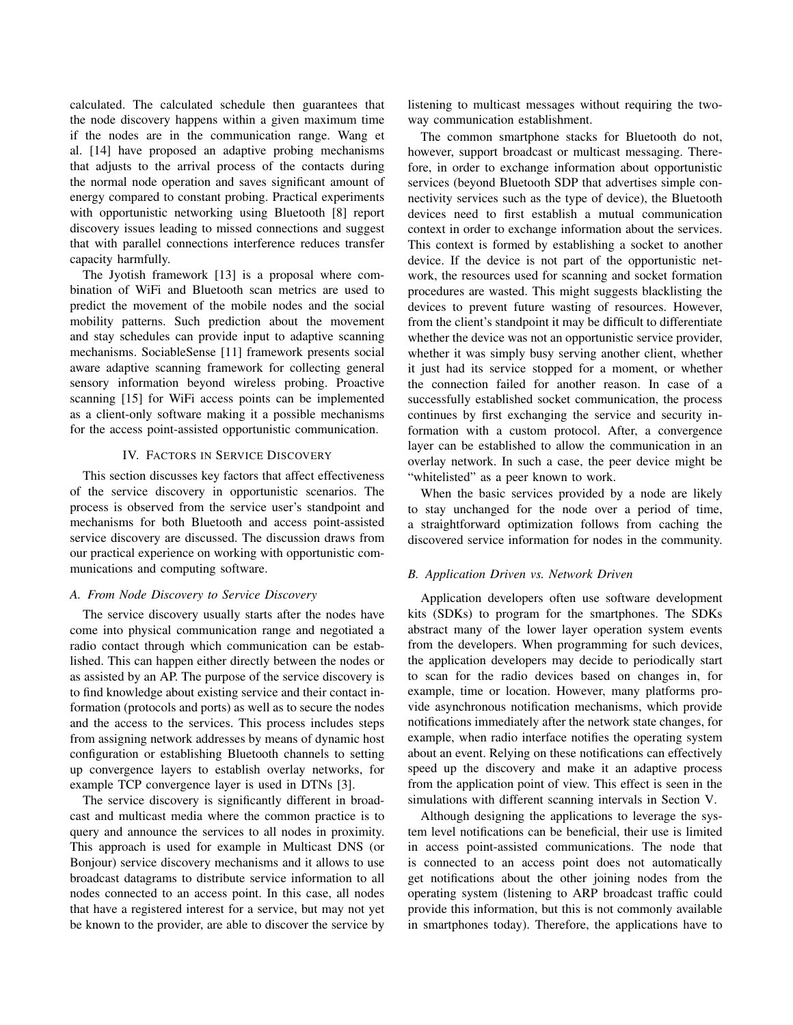calculated. The calculated schedule then guarantees that the node discovery happens within a given maximum time if the nodes are in the communication range. Wang et al. [14] have proposed an adaptive probing mechanisms that adjusts to the arrival process of the contacts during the normal node operation and saves significant amount of energy compared to constant probing. Practical experiments with opportunistic networking using Bluetooth [8] report discovery issues leading to missed connections and suggest that with parallel connections interference reduces transfer capacity harmfully.

The Jyotish framework [13] is a proposal where combination of WiFi and Bluetooth scan metrics are used to predict the movement of the mobile nodes and the social mobility patterns. Such prediction about the movement and stay schedules can provide input to adaptive scanning mechanisms. SociableSense [11] framework presents social aware adaptive scanning framework for collecting general sensory information beyond wireless probing. Proactive scanning [15] for WiFi access points can be implemented as a client-only software making it a possible mechanisms for the access point-assisted opportunistic communication.

# IV. FACTORS IN SERVICE DISCOVERY

This section discusses key factors that affect effectiveness of the service discovery in opportunistic scenarios. The process is observed from the service user's standpoint and mechanisms for both Bluetooth and access point-assisted service discovery are discussed. The discussion draws from our practical experience on working with opportunistic communications and computing software.

#### *A. From Node Discovery to Service Discovery*

The service discovery usually starts after the nodes have come into physical communication range and negotiated a radio contact through which communication can be established. This can happen either directly between the nodes or as assisted by an AP. The purpose of the service discovery is to find knowledge about existing service and their contact information (protocols and ports) as well as to secure the nodes and the access to the services. This process includes steps from assigning network addresses by means of dynamic host configuration or establishing Bluetooth channels to setting up convergence layers to establish overlay networks, for example TCP convergence layer is used in DTNs [3].

The service discovery is significantly different in broadcast and multicast media where the common practice is to query and announce the services to all nodes in proximity. This approach is used for example in Multicast DNS (or Bonjour) service discovery mechanisms and it allows to use broadcast datagrams to distribute service information to all nodes connected to an access point. In this case, all nodes that have a registered interest for a service, but may not yet be known to the provider, are able to discover the service by listening to multicast messages without requiring the twoway communication establishment.

The common smartphone stacks for Bluetooth do not, however, support broadcast or multicast messaging. Therefore, in order to exchange information about opportunistic services (beyond Bluetooth SDP that advertises simple connectivity services such as the type of device), the Bluetooth devices need to first establish a mutual communication context in order to exchange information about the services. This context is formed by establishing a socket to another device. If the device is not part of the opportunistic network, the resources used for scanning and socket formation procedures are wasted. This might suggests blacklisting the devices to prevent future wasting of resources. However, from the client's standpoint it may be difficult to differentiate whether the device was not an opportunistic service provider, whether it was simply busy serving another client, whether it just had its service stopped for a moment, or whether the connection failed for another reason. In case of a successfully established socket communication, the process continues by first exchanging the service and security information with a custom protocol. After, a convergence layer can be established to allow the communication in an overlay network. In such a case, the peer device might be "whitelisted" as a peer known to work.

When the basic services provided by a node are likely to stay unchanged for the node over a period of time, a straightforward optimization follows from caching the discovered service information for nodes in the community.

## *B. Application Driven vs. Network Driven*

Application developers often use software development kits (SDKs) to program for the smartphones. The SDKs abstract many of the lower layer operation system events from the developers. When programming for such devices, the application developers may decide to periodically start to scan for the radio devices based on changes in, for example, time or location. However, many platforms provide asynchronous notification mechanisms, which provide notifications immediately after the network state changes, for example, when radio interface notifies the operating system about an event. Relying on these notifications can effectively speed up the discovery and make it an adaptive process from the application point of view. This effect is seen in the simulations with different scanning intervals in Section V.

Although designing the applications to leverage the system level notifications can be beneficial, their use is limited in access point-assisted communications. The node that is connected to an access point does not automatically get notifications about the other joining nodes from the operating system (listening to ARP broadcast traffic could provide this information, but this is not commonly available in smartphones today). Therefore, the applications have to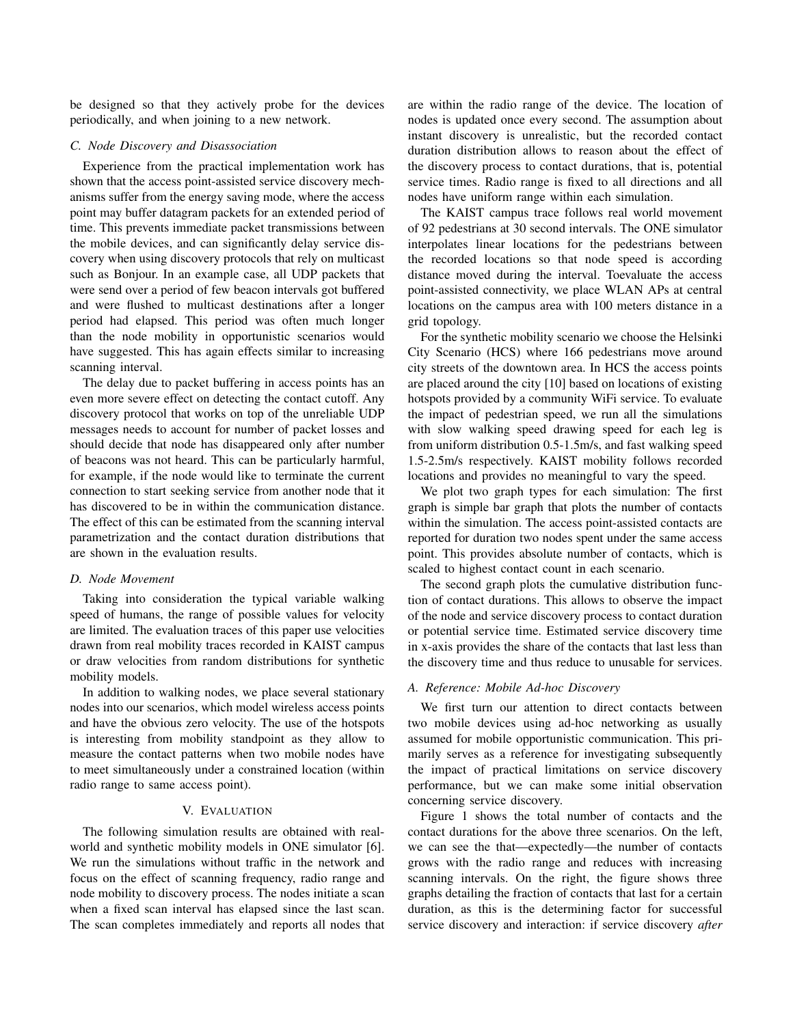be designed so that they actively probe for the devices periodically, and when joining to a new network.

#### *C. Node Discovery and Disassociation*

Experience from the practical implementation work has shown that the access point-assisted service discovery mechanisms suffer from the energy saving mode, where the access point may buffer datagram packets for an extended period of time. This prevents immediate packet transmissions between the mobile devices, and can significantly delay service discovery when using discovery protocols that rely on multicast such as Bonjour. In an example case, all UDP packets that were send over a period of few beacon intervals got buffered and were flushed to multicast destinations after a longer period had elapsed. This period was often much longer than the node mobility in opportunistic scenarios would have suggested. This has again effects similar to increasing scanning interval.

The delay due to packet buffering in access points has an even more severe effect on detecting the contact cutoff. Any discovery protocol that works on top of the unreliable UDP messages needs to account for number of packet losses and should decide that node has disappeared only after number of beacons was not heard. This can be particularly harmful, for example, if the node would like to terminate the current connection to start seeking service from another node that it has discovered to be in within the communication distance. The effect of this can be estimated from the scanning interval parametrization and the contact duration distributions that are shown in the evaluation results.

## *D. Node Movement*

Taking into consideration the typical variable walking speed of humans, the range of possible values for velocity are limited. The evaluation traces of this paper use velocities drawn from real mobility traces recorded in KAIST campus or draw velocities from random distributions for synthetic mobility models.

In addition to walking nodes, we place several stationary nodes into our scenarios, which model wireless access points and have the obvious zero velocity. The use of the hotspots is interesting from mobility standpoint as they allow to measure the contact patterns when two mobile nodes have to meet simultaneously under a constrained location (within radio range to same access point).

## V. EVALUATION

The following simulation results are obtained with realworld and synthetic mobility models in ONE simulator [6]. We run the simulations without traffic in the network and focus on the effect of scanning frequency, radio range and node mobility to discovery process. The nodes initiate a scan when a fixed scan interval has elapsed since the last scan. The scan completes immediately and reports all nodes that are within the radio range of the device. The location of nodes is updated once every second. The assumption about instant discovery is unrealistic, but the recorded contact duration distribution allows to reason about the effect of the discovery process to contact durations, that is, potential service times. Radio range is fixed to all directions and all nodes have uniform range within each simulation.

The KAIST campus trace follows real world movement of 92 pedestrians at 30 second intervals. The ONE simulator interpolates linear locations for the pedestrians between the recorded locations so that node speed is according distance moved during the interval. Toevaluate the access point-assisted connectivity, we place WLAN APs at central locations on the campus area with 100 meters distance in a grid topology.

For the synthetic mobility scenario we choose the Helsinki City Scenario (HCS) where 166 pedestrians move around city streets of the downtown area. In HCS the access points are placed around the city [10] based on locations of existing hotspots provided by a community WiFi service. To evaluate the impact of pedestrian speed, we run all the simulations with slow walking speed drawing speed for each leg is from uniform distribution 0.5-1.5m/s, and fast walking speed 1.5-2.5m/s respectively. KAIST mobility follows recorded locations and provides no meaningful to vary the speed.

We plot two graph types for each simulation: The first graph is simple bar graph that plots the number of contacts within the simulation. The access point-assisted contacts are reported for duration two nodes spent under the same access point. This provides absolute number of contacts, which is scaled to highest contact count in each scenario.

The second graph plots the cumulative distribution function of contact durations. This allows to observe the impact of the node and service discovery process to contact duration or potential service time. Estimated service discovery time in x-axis provides the share of the contacts that last less than the discovery time and thus reduce to unusable for services.

#### *A. Reference: Mobile Ad-hoc Discovery*

We first turn our attention to direct contacts between two mobile devices using ad-hoc networking as usually assumed for mobile opportunistic communication. This primarily serves as a reference for investigating subsequently the impact of practical limitations on service discovery performance, but we can make some initial observation concerning service discovery.

Figure 1 shows the total number of contacts and the contact durations for the above three scenarios. On the left, we can see the that—expectedly—the number of contacts grows with the radio range and reduces with increasing scanning intervals. On the right, the figure shows three graphs detailing the fraction of contacts that last for a certain duration, as this is the determining factor for successful service discovery and interaction: if service discovery *after*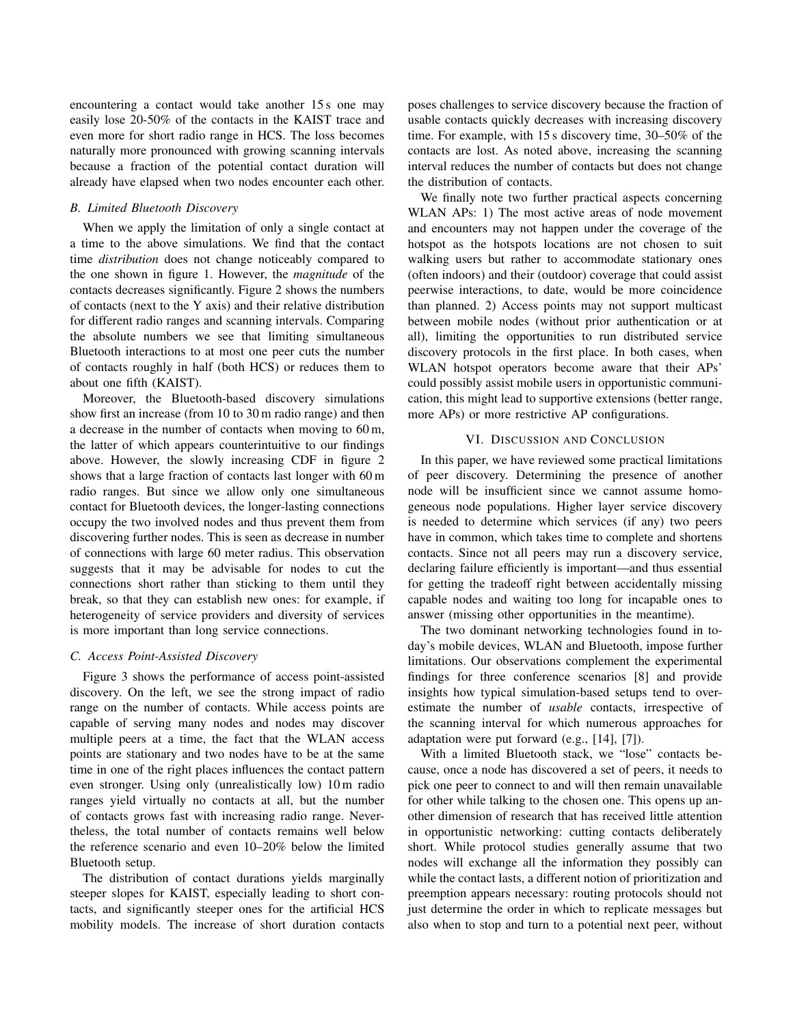encountering a contact would take another 15 s one may easily lose 20-50% of the contacts in the KAIST trace and even more for short radio range in HCS. The loss becomes naturally more pronounced with growing scanning intervals because a fraction of the potential contact duration will already have elapsed when two nodes encounter each other.

## *B. Limited Bluetooth Discovery*

When we apply the limitation of only a single contact at a time to the above simulations. We find that the contact time *distribution* does not change noticeably compared to the one shown in figure 1. However, the *magnitude* of the contacts decreases significantly. Figure 2 shows the numbers of contacts (next to the Y axis) and their relative distribution for different radio ranges and scanning intervals. Comparing the absolute numbers we see that limiting simultaneous Bluetooth interactions to at most one peer cuts the number of contacts roughly in half (both HCS) or reduces them to about one fifth (KAIST).

Moreover, the Bluetooth-based discovery simulations show first an increase (from 10 to 30 m radio range) and then a decrease in the number of contacts when moving to 60 m, the latter of which appears counterintuitive to our findings above. However, the slowly increasing CDF in figure 2 shows that a large fraction of contacts last longer with 60 m radio ranges. But since we allow only one simultaneous contact for Bluetooth devices, the longer-lasting connections occupy the two involved nodes and thus prevent them from discovering further nodes. This is seen as decrease in number of connections with large 60 meter radius. This observation suggests that it may be advisable for nodes to cut the connections short rather than sticking to them until they break, so that they can establish new ones: for example, if heterogeneity of service providers and diversity of services is more important than long service connections.

## *C. Access Point-Assisted Discovery*

Figure 3 shows the performance of access point-assisted discovery. On the left, we see the strong impact of radio range on the number of contacts. While access points are capable of serving many nodes and nodes may discover multiple peers at a time, the fact that the WLAN access points are stationary and two nodes have to be at the same time in one of the right places influences the contact pattern even stronger. Using only (unrealistically low) 10 m radio ranges yield virtually no contacts at all, but the number of contacts grows fast with increasing radio range. Nevertheless, the total number of contacts remains well below the reference scenario and even 10–20% below the limited Bluetooth setup.

The distribution of contact durations yields marginally steeper slopes for KAIST, especially leading to short contacts, and significantly steeper ones for the artificial HCS mobility models. The increase of short duration contacts poses challenges to service discovery because the fraction of usable contacts quickly decreases with increasing discovery time. For example, with 15 s discovery time, 30–50% of the contacts are lost. As noted above, increasing the scanning interval reduces the number of contacts but does not change the distribution of contacts.

We finally note two further practical aspects concerning WLAN APs: 1) The most active areas of node movement and encounters may not happen under the coverage of the hotspot as the hotspots locations are not chosen to suit walking users but rather to accommodate stationary ones (often indoors) and their (outdoor) coverage that could assist peerwise interactions, to date, would be more coincidence than planned. 2) Access points may not support multicast between mobile nodes (without prior authentication or at all), limiting the opportunities to run distributed service discovery protocols in the first place. In both cases, when WLAN hotspot operators become aware that their APs' could possibly assist mobile users in opportunistic communication, this might lead to supportive extensions (better range, more APs) or more restrictive AP configurations.

## VI. DISCUSSION AND CONCLUSION

In this paper, we have reviewed some practical limitations of peer discovery. Determining the presence of another node will be insufficient since we cannot assume homogeneous node populations. Higher layer service discovery is needed to determine which services (if any) two peers have in common, which takes time to complete and shortens contacts. Since not all peers may run a discovery service, declaring failure efficiently is important—and thus essential for getting the tradeoff right between accidentally missing capable nodes and waiting too long for incapable ones to answer (missing other opportunities in the meantime).

The two dominant networking technologies found in today's mobile devices, WLAN and Bluetooth, impose further limitations. Our observations complement the experimental findings for three conference scenarios [8] and provide insights how typical simulation-based setups tend to overestimate the number of *usable* contacts, irrespective of the scanning interval for which numerous approaches for adaptation were put forward (e.g., [14], [7]).

With a limited Bluetooth stack, we "lose" contacts because, once a node has discovered a set of peers, it needs to pick one peer to connect to and will then remain unavailable for other while talking to the chosen one. This opens up another dimension of research that has received little attention in opportunistic networking: cutting contacts deliberately short. While protocol studies generally assume that two nodes will exchange all the information they possibly can while the contact lasts, a different notion of prioritization and preemption appears necessary: routing protocols should not just determine the order in which to replicate messages but also when to stop and turn to a potential next peer, without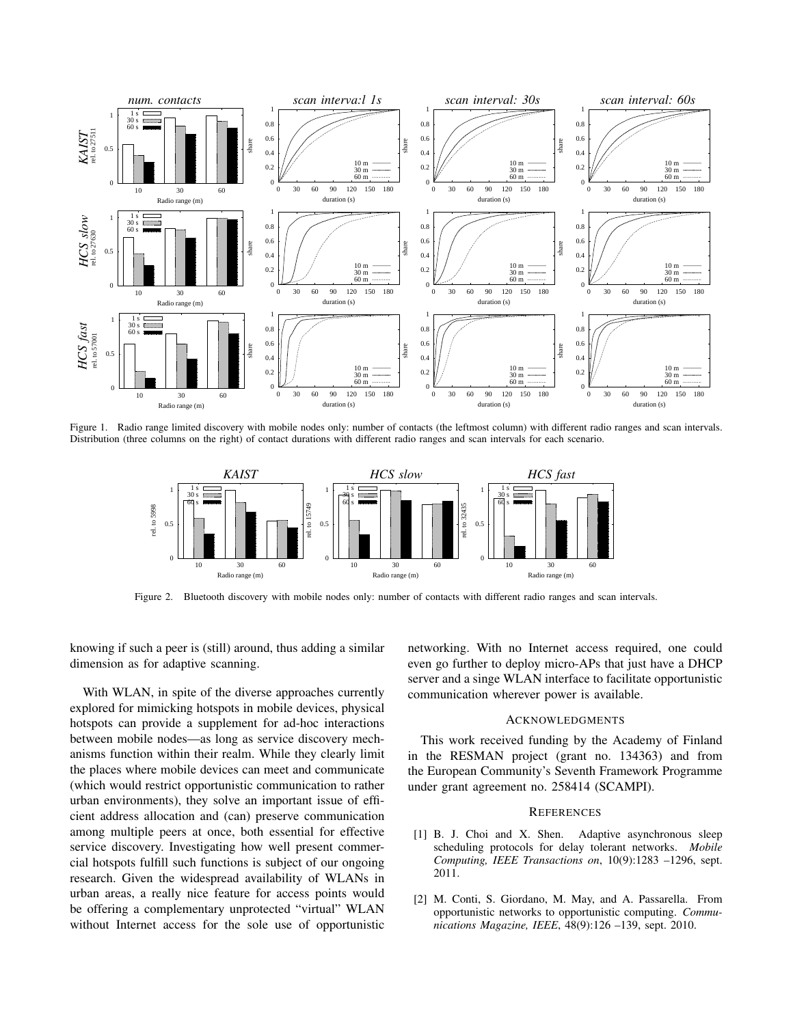

Figure 1. Radio range limited discovery with mobile nodes only: number of contacts (the leftmost column) with different radio ranges and scan intervals. Distribution (three columns on the right) of contact durations with different radio ranges and scan intervals for each scenario.



Figure 2. Bluetooth discovery with mobile nodes only: number of contacts with different radio ranges and scan intervals.

knowing if such a peer is (still) around, thus adding a similar dimension as for adaptive scanning.

With WLAN, in spite of the diverse approaches currently explored for mimicking hotspots in mobile devices, physical hotspots can provide a supplement for ad-hoc interactions between mobile nodes—as long as service discovery mechanisms function within their realm. While they clearly limit the places where mobile devices can meet and communicate (which would restrict opportunistic communication to rather urban environments), they solve an important issue of efficient address allocation and (can) preserve communication among multiple peers at once, both essential for effective service discovery. Investigating how well present commercial hotspots fulfill such functions is subject of our ongoing research. Given the widespread availability of WLANs in urban areas, a really nice feature for access points would be offering a complementary unprotected "virtual" WLAN without Internet access for the sole use of opportunistic networking. With no Internet access required, one could even go further to deploy micro-APs that just have a DHCP server and a singe WLAN interface to facilitate opportunistic communication wherever power is available.

#### ACKNOWLEDGMENTS

This work received funding by the Academy of Finland in the RESMAN project (grant no. 134363) and from the European Community's Seventh Framework Programme under grant agreement no. 258414 (SCAMPI).

#### **REFERENCES**

- [1] B. J. Choi and X. Shen. Adaptive asynchronous sleep scheduling protocols for delay tolerant networks. *Mobile Computing, IEEE Transactions on*, 10(9):1283 –1296, sept. 2011.
- [2] M. Conti, S. Giordano, M. May, and A. Passarella. From opportunistic networks to opportunistic computing. *Communications Magazine, IEEE*, 48(9):126 –139, sept. 2010.